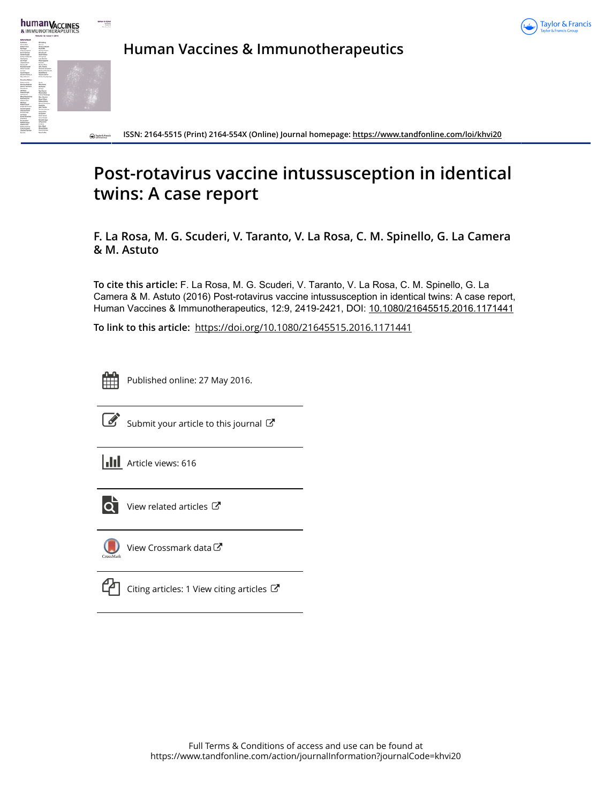

# **Post-rotavirus vaccine intussusception in identical twins: A case report**

**F. La Rosa, M. G. Scuderi, V. Taranto, V. La Rosa, C. M. Spinello, G. La Camera & M. Astuto**

**To cite this article:** F. La Rosa, M. G. Scuderi, V. Taranto, V. La Rosa, C. M. Spinello, G. La Camera & M. Astuto (2016) Post-rotavirus vaccine intussusception in identical twins: A case report, Human Vaccines & Immunotherapeutics, 12:9, 2419-2421, DOI: [10.1080/21645515.2016.1171441](https://www.tandfonline.com/action/showCitFormats?doi=10.1080/21645515.2016.1171441)

**To link to this article:** <https://doi.org/10.1080/21645515.2016.1171441>



Published online: 27 May 2016.



 $\overrightarrow{S}$  [Submit your article to this journal](https://www.tandfonline.com/action/authorSubmission?journalCode=khvi20&show=instructions)  $\overrightarrow{S}$ 

**Article views: 616** 



[View related articles](https://www.tandfonline.com/doi/mlt/10.1080/21645515.2016.1171441) C



[View Crossmark data](http://crossmark.crossref.org/dialog/?doi=10.1080/21645515.2016.1171441&domain=pdf&date_stamp=2016-05-27)



 $\mathbb{C}$  [Citing articles: 1 View citing articles](https://www.tandfonline.com/doi/citedby/10.1080/21645515.2016.1171441#tabModule)  $\mathbb{C}$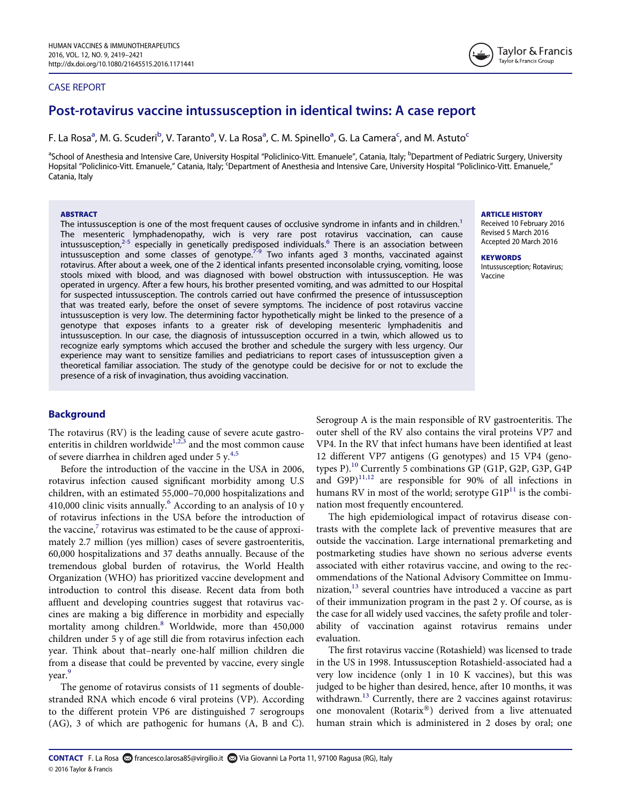# CASE REPORT

# Post-rotavirus vaccine intussusception in identical twins: A case report

F. La Rosaª, M. G. Scuderi<sup>[b](#page-1-0)</sup>, V. T[a](#page-1-0)rantoª, V. La Rosaª, C. M. Spinelloª, G. La Camera<sup>[c](#page-1-1)</sup>, and M. Astuto<sup>c</sup>

<span id="page-1-1"></span><span id="page-1-0"></span><sup>a</sup>School of Anesthesia and Intensive Care, University Hospital "Policlinico-Vitt. Emanuele", Catania, Italy; <sup>b</sup>Department of Pediatric Surgery, University Hopsital "Policlinico-Vitt. Emanuele," Catania, Italy; <sup>c</sup>Department of Anesthesia and Intensive Care, University Hospital "Policlinico-Vitt. Emanuele," Catania, Italy

#### ABSTRACT

The intussusception is one of the most frequent causes of occlusive syndrome in infants and in children.<sup>[1](#page-3-0)</sup> The mesenteric lymphadenopathy, wich is very rare post rotavirus vaccination, can cause intussusception,<sup>[2-5](#page-3-1)</sup> especially in genetically predisposed individuals.<sup>[6](#page-3-2)</sup> There is an association between intussusception and some classes of genotype. $7-9$  Two infants aged 3 months, vaccinated against rotavirus. After about a week, one of the 2 identical infants presented inconsolable crying, vomiting, loose stools mixed with blood, and was diagnosed with bowel obstruction with intussusception. He was operated in urgency. After a few hours, his brother presented vomiting, and was admitted to our Hospital for suspected intussusception. The controls carried out have confirmed the presence of intussusception that was treated early, before the onset of severe symptoms. The incidence of post rotavirus vaccine intussusception is very low. The determining factor hypothetically might be linked to the presence of a genotype that exposes infants to a greater risk of developing mesenteric lymphadenitis and intussusception. In our case, the diagnosis of intussusception occurred in a twin, which allowed us to recognize early symptoms which accused the brother and schedule the surgery with less urgency. Our experience may want to sensitize families and pediatricians to report cases of intussusception given a theoretical familiar association. The study of the genotype could be decisive for or not to exclude the presence of a risk of invagination, thus avoiding vaccination.

# ARTICLE HISTORY

Received 10 February 2016 Revised 5 March 2016 Accepted 20 March 2016

#### **KEYWORDS**

Intussusception; Rotavirus; Vaccine

#### **Background**

The rotavirus (RV) is the leading cause of severe acute gastro-enteritis in children worldwide<sup>[1,2,](#page-3-0)[3](#page-3-4)</sup> and the most common cause of severe diarrhea in children aged under 5  $y<sub>.4,5</sub>$  $y<sub>.4,5</sub>$  $y<sub>.4,5</sub>$ 

Before the introduction of the vaccine in the USA in 2006, rotavirus infection caused significant morbidity among U.S children, with an estimated 55,000–70,000 hospitalizations and 410,000 clinic visits annually. $6$  According to an analysis of 10 y of rotavirus infections in the USA before the introduction of the vaccine, $\sigma$  rotavirus was estimated to be the cause of approximately 2.7 million (yes million) cases of severe gastroenteritis, 60,000 hospitalizations and 37 deaths annually. Because of the tremendous global burden of rotavirus, the World Health Organization (WHO) has prioritized vaccine development and introduction to control this disease. Recent data from both affluent and developing countries suggest that rotavirus vaccines are making a big difference in morbidity and especially mortality among children.<sup>[8](#page-3-6)</sup> Worldwide, more than 450,000 children under 5 y of age still die from rotavirus infection each year. Think about that–nearly one-half million children die from a disease that could be prevented by vaccine, every single year.<sup>[9](#page-3-7)</sup>

The genome of rotavirus consists of 11 segments of doublestranded RNA which encode 6 viral proteins (VP). According to the different protein VP6 are distinguished 7 serogroups (AG), 3 of which are pathogenic for humans (A, B and C).

Serogroup A is the main responsible of RV gastroenteritis. The outer shell of the RV also contains the viral proteins VP7 and VP4. In the RV that infect humans have been identified at least 12 different VP7 antigens (G genotypes) and 15 VP4 (genotypes P).[10](#page-3-8) Currently 5 combinations GP (G1P, G2P, G3P, G4P and  $G9P$ <sup>[11,12](#page-3-9)</sup> are responsible for 90% of all infections in humans RV in most of the world; serotype  $GIP<sup>11</sup>$  $GIP<sup>11</sup>$  $GIP<sup>11</sup>$  is the combination most frequently encountered.

The high epidemiological impact of rotavirus disease contrasts with the complete lack of preventive measures that are outside the vaccination. Large international premarketing and postmarketing studies have shown no serious adverse events associated with either rotavirus vaccine, and owing to the recommendations of the National Advisory Committee on Immunization, $13$  several countries have introduced a vaccine as part of their immunization program in the past 2 y. Of course, as is the case for all widely used vaccines, the safety profile and tolerability of vaccination against rotavirus remains under evaluation.

The first rotavirus vaccine (Rotashield) was licensed to trade in the US in 1998. Intussusception Rotashield-associated had a very low incidence (only 1 in 10 K vaccines), but this was judged to be higher than desired, hence, after 10 months, it was withdrawn.<sup>[13](#page-3-10)</sup> Currently, there are 2 vaccines against rotavirus: one monovalent (Rotarix®) derived from a live attenuated human strain which is administered in 2 doses by oral; one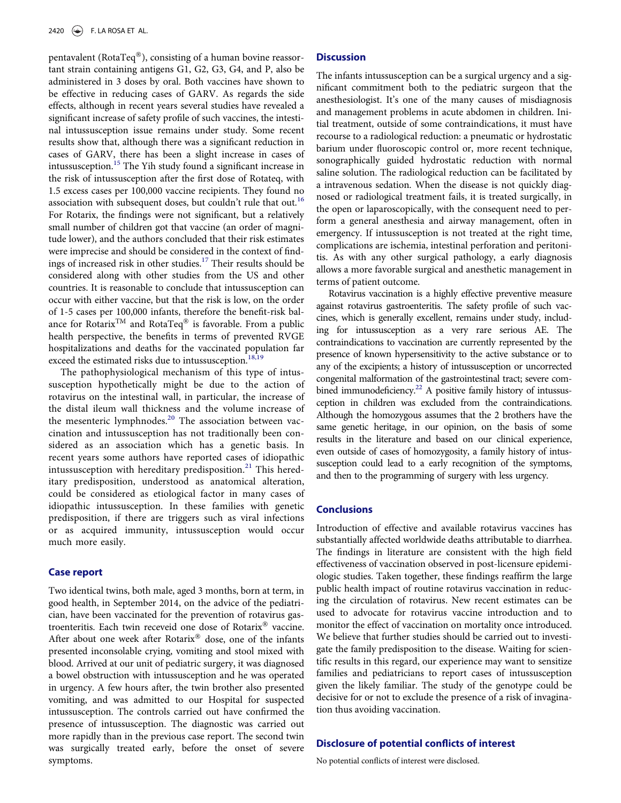pentavalent (RotaTeq®), consisting of a human bovine reassortant strain containing antigens G1, G2, G3, G4, and P, also be administered in 3 doses by oral. Both vaccines have shown to be effective in reducing cases of GARV. As regards the side effects, although in recent years several studies have revealed a significant increase of safety profile of such vaccines, the intestinal intussusception issue remains under study. Some recent results show that, although there was a significant reduction in cases of GARV, there has been a slight increase in cases of intussusception.[15](#page-3-11) The Yih study found a significant increase in the risk of intussusception after the first dose of Rotateq, with 1.5 excess cases per 100,000 vaccine recipients. They found no association with subsequent doses, but couldn't rule that out.<sup>[16](#page-3-12)</sup> For Rotarix, the findings were not significant, but a relatively small number of children got that vaccine (an order of magnitude lower), and the authors concluded that their risk estimates were imprecise and should be considered in the context of findings of increased risk in other studies.[17](#page-3-13) Their results should be considered along with other studies from the US and other countries. It is reasonable to conclude that intussusception can occur with either vaccine, but that the risk is low, on the order of 1-5 cases per 100,000 infants, therefore the benefit-risk balance for Rotarix<sup>TM</sup> and RotaTeq<sup>®</sup> is favorable. From a public health perspective, the benefits in terms of prevented RVGE hospitalizations and deaths for the vaccinated population far exceed the estimated risks due to intussusception.<sup>[18,19](#page-3-14)</sup>

The pathophysiological mechanism of this type of intussusception hypothetically might be due to the action of rotavirus on the intestinal wall, in particular, the increase of the distal ileum wall thickness and the volume increase of the mesenteric lymphnodes. $20$  The association between vaccination and intussusception has not traditionally been considered as an association which has a genetic basis. In recent years some authors have reported cases of idiopathic intussusception with hereditary predisposition.<sup>[21](#page-3-16)</sup> This hereditary predisposition, understood as anatomical alteration, could be considered as etiological factor in many cases of idiopathic intussusception. In these families with genetic predisposition, if there are triggers such as viral infections or as acquired immunity, intussusception would occur much more easily.

#### Case report

Two identical twins, both male, aged 3 months, born at term, in good health, in September 2014, on the advice of the pediatrician, have been vaccinated for the prevention of rotavirus gastroenteritis. Each twin receveid one dose of Rotarix® vaccine. After about one week after Rotarix $^{\circledR}$  dose, one of the infants presented inconsolable crying, vomiting and stool mixed with blood. Arrived at our unit of pediatric surgery, it was diagnosed a bowel obstruction with intussusception and he was operated in urgency. A few hours after, the twin brother also presented vomiting, and was admitted to our Hospital for suspected intussusception. The controls carried out have confirmed the presence of intussusception. The diagnostic was carried out more rapidly than in the previous case report. The second twin was surgically treated early, before the onset of severe symptoms.

# **Discussion**

The infants intussusception can be a surgical urgency and a significant commitment both to the pediatric surgeon that the anesthesiologist. It's one of the many causes of misdiagnosis and management problems in acute abdomen in children. Initial treatment, outside of some contraindications, it must have recourse to a radiological reduction: a pneumatic or hydrostatic barium under fluoroscopic control or, more recent technique, sonographically guided hydrostatic reduction with normal saline solution. The radiological reduction can be facilitated by a intravenous sedation. When the disease is not quickly diagnosed or radiological treatment fails, it is treated surgically, in the open or laparoscopically, with the consequent need to perform a general anesthesia and airway management, often in emergency. If intussusception is not treated at the right time, complications are ischemia, intestinal perforation and peritonitis. As with any other surgical pathology, a early diagnosis allows a more favorable surgical and anesthetic management in terms of patient outcome.

Rotavirus vaccination is a highly effective preventive measure against rotavirus gastroenteritis. The safety profile of such vaccines, which is generally excellent, remains under study, including for intussusception as a very rare serious AE. The contraindications to vaccination are currently represented by the presence of known hypersensitivity to the active substance or to any of the excipients; a history of intussusception or uncorrected congenital malformation of the gastrointestinal tract; severe com-bined immunodeficiency.<sup>[22](#page-3-17)</sup> A positive family history of intussusception in children was excluded from the contraindications. Although the homozygous assumes that the 2 brothers have the same genetic heritage, in our opinion, on the basis of some results in the literature and based on our clinical experience, even outside of cases of homozygosity, a family history of intussusception could lead to a early recognition of the symptoms, and then to the programming of surgery with less urgency.

# **Conclusions**

Introduction of effective and available rotavirus vaccines has substantially affected worldwide deaths attributable to diarrhea. The findings in literature are consistent with the high field effectiveness of vaccination observed in post-licensure epidemiologic studies. Taken together, these findings reaffirm the large public health impact of routine rotavirus vaccination in reducing the circulation of rotavirus. New recent estimates can be used to advocate for rotavirus vaccine introduction and to monitor the effect of vaccination on mortality once introduced. We believe that further studies should be carried out to investigate the family predisposition to the disease. Waiting for scientific results in this regard, our experience may want to sensitize families and pediatricians to report cases of intussusception given the likely familiar. The study of the genotype could be decisive for or not to exclude the presence of a risk of invagination thus avoiding vaccination.

# Disclosure of potential conflicts of interest

No potential conflicts of interest were disclosed.